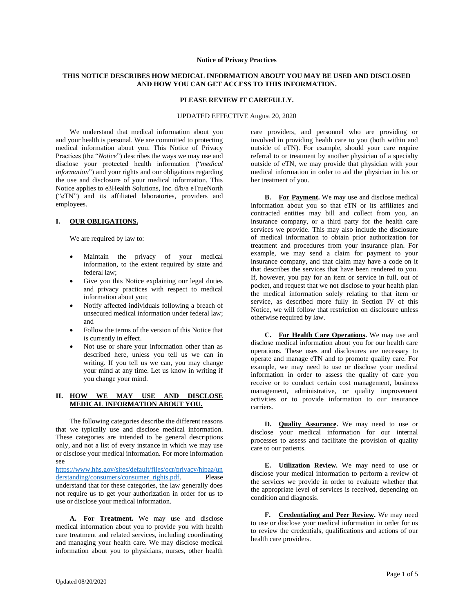#### **Notice of Privacy Practices**

# **THIS NOTICE DESCRIBES HOW MEDICAL INFORMATION ABOUT YOU MAY BE USED AND DISCLOSED AND HOW YOU CAN GET ACCESS TO THIS INFORMATION.**

#### **PLEASE REVIEW IT CAREFULLY.**

#### UPDATED EFFECTIVE August 20, 2020

We understand that medical information about you and your health is personal. We are committed to protecting medical information about you. This Notice of Privacy Practices (the "*Notice*") describes the ways we may use and disclose your protected health information ("*medical information*") and your rights and our obligations regarding the use and disclosure of your medical information. This Notice applies to e3Health Solutions, Inc. d/b/a eTrueNorth ("eTN") and its affiliated laboratories, providers and employees.

### **I. OUR OBLIGATIONS.**

We are required by law to:

- Maintain the privacy of your medical information, to the extent required by state and federal law;
- Give you this Notice explaining our legal duties and privacy practices with respect to medical information about you;
- Notify affected individuals following a breach of unsecured medical information under federal law; and
- Follow the terms of the version of this Notice that is currently in effect.
- Not use or share your information other than as described here, unless you tell us we can in writing. If you tell us we can, you may change your mind at any time. Let us know in writing if you change your mind.

### **II. HOW WE MAY USE AND DISCLOSE MEDICAL INFORMATION ABOUT YOU.**

The following categories describe the different reasons that we typically use and disclose medical information. These categories are intended to be general descriptions only, and not a list of every instance in which we may use or disclose your medical information. For more information see

[https://www.hhs.gov/sites/default/files/ocr/privacy/hipaa/un](https://www.hhs.gov/sites/default/files/ocr/privacy/hipaa/understanding/consumers/consumer_rights.pdf) [derstanding/consumers/consumer\\_rights.pdf.](https://www.hhs.gov/sites/default/files/ocr/privacy/hipaa/understanding/consumers/consumer_rights.pdf) Please understand that for these categories, the law generally does not require us to get your authorization in order for us to use or disclose your medical information.

**A. For Treatment.** We may use and disclose medical information about you to provide you with health care treatment and related services, including coordinating and managing your health care. We may disclose medical information about you to physicians, nurses, other health

care providers, and personnel who are providing or involved in providing health care to you (both within and outside of eTN). For example, should your care require referral to or treatment by another physician of a specialty outside of eTN, we may provide that physician with your medical information in order to aid the physician in his or her treatment of you.

**B. For Payment.** We may use and disclose medical information about you so that eTN or its affiliates and contracted entities may bill and collect from you, an insurance company, or a third party for the health care services we provide. This may also include the disclosure of medical information to obtain prior authorization for treatment and procedures from your insurance plan. For example, we may send a claim for payment to your insurance company, and that claim may have a code on it that describes the services that have been rendered to you. If, however, you pay for an item or service in full, out of pocket, and request that we not disclose to your health plan the medical information solely relating to that item or service, as described more fully in Section IV of this Notice, we will follow that restriction on disclosure unless otherwise required by law.

**C. For Health Care Operations.** We may use and disclose medical information about you for our health care operations. These uses and disclosures are necessary to operate and manage eTN and to promote quality care. For example, we may need to use or disclose your medical information in order to assess the quality of care you receive or to conduct certain cost management, business management, administrative, or quality improvement activities or to provide information to our insurance carriers.

**D. Quality Assurance.** We may need to use or disclose your medical information for our internal processes to assess and facilitate the provision of quality care to our patients.

**E. Utilization Review.** We may need to use or disclose your medical information to perform a review of the services we provide in order to evaluate whether that the appropriate level of services is received, depending on condition and diagnosis.

**F. Credentialing and Peer Review.** We may need to use or disclose your medical information in order for us to review the credentials, qualifications and actions of our health care providers.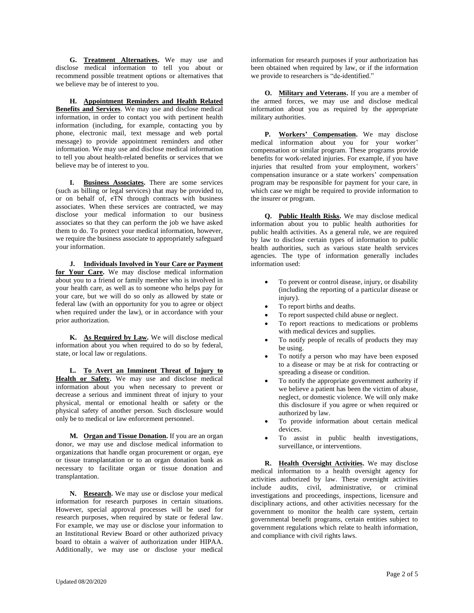**G. Treatment Alternatives.** We may use and disclose medical information to tell you about or recommend possible treatment options or alternatives that we believe may be of interest to you.

**H. Appointment Reminders and Health Related Benefits and Services**. We may use and disclose medical information, in order to contact you with pertinent health information (including, for example, contacting you by phone, electronic mail, text message and web portal message) to provide appointment reminders and other information. We may use and disclose medical information to tell you about health-related benefits or services that we believe may be of interest to you.

**I. Business Associates.** There are some services (such as billing or legal services) that may be provided to, or on behalf of, eTN through contracts with business associates. When these services are contracted, we may disclose your medical information to our business associates so that they can perform the job we have asked them to do. To protect your medical information, however, we require the business associate to appropriately safeguard your information.

**J. Individuals Involved in Your Care or Payment for Your Care.** We may disclose medical information about you to a friend or family member who is involved in your health care, as well as to someone who helps pay for your care, but we will do so only as allowed by state or federal law (with an opportunity for you to agree or object when required under the law), or in accordance with your prior authorization.

**K. As Required by Law.** We will disclose medical information about you when required to do so by federal, state, or local law or regulations.

**L. To Avert an Imminent Threat of Injury to**  Health or Safety. We may use and disclose medical information about you when necessary to prevent or decrease a serious and imminent threat of injury to your physical, mental or emotional health or safety or the physical safety of another person. Such disclosure would only be to medical or law enforcement personnel.

**M. Organ and Tissue Donation.** If you are an organ donor, we may use and disclose medical information to organizations that handle organ procurement or organ, eye or tissue transplantation or to an organ donation bank as necessary to facilitate organ or tissue donation and transplantation.

**N. Research.** We may use or disclose your medical information for research purposes in certain situations. However, special approval processes will be used for research purposes, when required by state or federal law. For example, we may use or disclose your information to an Institutional Review Board or other authorized privacy board to obtain a waiver of authorization under HIPAA. Additionally, we may use or disclose your medical

information for research purposes if your authorization has been obtained when required by law, or if the information we provide to researchers is "de-identified."

**O. Military and Veterans.** If you are a member of the armed forces, we may use and disclose medical information about you as required by the appropriate military authorities.

**P. Workers' Compensation.** We may disclose medical information about you for your worker' compensation or similar program. These programs provide benefits for work-related injuries. For example, if you have injuries that resulted from your employment, workers' compensation insurance or a state workers' compensation program may be responsible for payment for your care, in which case we might be required to provide information to the insurer or program.

**Q. Public Health Risks.** We may disclose medical information about you to public health authorities for public health activities. As a general rule, we are required by law to disclose certain types of information to public health authorities, such as various state health services agencies. The type of information generally includes information used:

- To prevent or control disease, injury, or disability (including the reporting of a particular disease or injury).
- To report births and deaths.
- To report suspected child abuse or neglect.
- To report reactions to medications or problems with medical devices and supplies.
- To notify people of recalls of products they may be using.
- To notify a person who may have been exposed to a disease or may be at risk for contracting or spreading a disease or condition.
- To notify the appropriate government authority if we believe a patient has been the victim of abuse, neglect, or domestic violence. We will only make this disclosure if you agree or when required or authorized by law.
- To provide information about certain medical devices.
- To assist in public health investigations, surveillance, or interventions.

**R. Health Oversight Activities.** We may disclose medical information to a health oversight agency for activities authorized by law. These oversight activities include audits, civil, administrative, or criminal investigations and proceedings, inspections, licensure and disciplinary actions, and other activities necessary for the government to monitor the health care system, certain governmental benefit programs, certain entities subject to government regulations which relate to health information, and compliance with civil rights laws.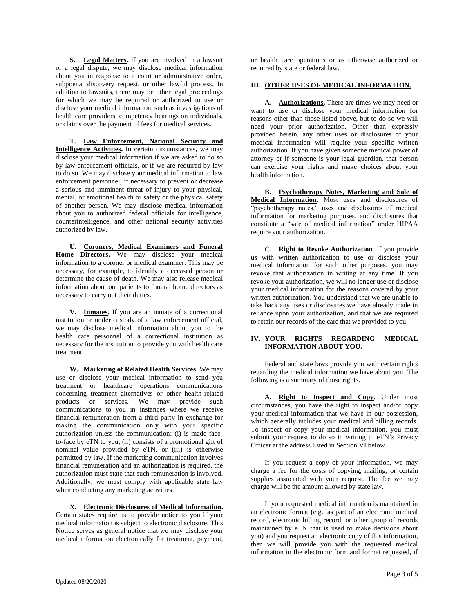**S. Legal Matters.** If you are involved in a lawsuit or a legal dispute, we may disclose medical information about you in response to a court or administrative order, subpoena, discovery request, or other lawful process. In addition to lawsuits, there may be other legal proceedings for which we may be required or authorized to use or disclose your medical information, such as investigations of health care providers, competency hearings on individuals, or claims over the payment of fees for medical services.

**T. Law Enforcement, National Security and Intelligence Activities.** In certain circumstances**,** we may disclose your medical information if we are asked to do so by law enforcement officials, or if we are required by law to do so. We may disclose your medical information to law enforcement personnel, if necessary to prevent or decrease a serious and imminent threat of injury to your physical, mental, or emotional health or safety or the physical safety of another person. We may disclose medical information about you to authorized federal officials for intelligence, counterintelligence, and other national security activities authorized by law.

**U. Coroners, Medical Examiners and Funeral Home Directors.** We may disclose your medical information to a coroner or medical examiner. This may be necessary, for example, to identify a deceased person or determine the cause of death. We may also release medical information about our patients to funeral home directors as necessary to carry out their duties.

**V. Inmates.** If you are an inmate of a correctional institution or under custody of a law enforcement official, we may disclose medical information about you to the health care personnel of a correctional institution as necessary for the institution to provide you with health care treatment.

**W. Marketing of Related Health Services.** We may use or disclose your medical information to send you treatment or healthcare operations communications concerning treatment alternatives or other health-related products or services. We may provide such communications to you in instances where we receive financial remuneration from a third party in exchange for making the communication only with your specific authorization unless the communication: (i) is made faceto-face by eTN to you, (ii) consists of a promotional gift of nominal value provided by eTN, or (iii) is otherwise permitted by law. If the marketing communication involves financial remuneration and an authorization is required, the authorization must state that such remuneration is involved. Additionally, we must comply with applicable state law when conducting any marketing activities.

**X. Electronic Disclosures of Medical Information.** Certain states require us to provide notice to you if your medical information is subject to electronic disclosure. This Notice serves as general notice that we may disclose your medical information electronically for treatment, payment, or health care operations or as otherwise authorized or required by state or federal law.

# **III. OTHER USES OF MEDICAL INFORMATION.**

**A. Authorizations.** There are times we may need or want to use or disclose your medical information for reasons other than those listed above, but to do so we will need your prior authorization. Other than expressly provided herein, any other uses or disclosures of your medical information will require your specific written authorization. If you have given someone medical power of attorney or if someone is your legal guardian, that person can exercise your rights and make choices about your health information.

**B. Psychotherapy Notes, Marketing and Sale of Medical Information.** Most uses and disclosures of "psychotherapy notes," uses and disclosures of medical information for marketing purposes, and disclosures that constitute a "sale of medical information" under HIPAA require your authorization.

**C. Right to Revoke Authorization**. If you provide us with written authorization to use or disclose your medical information for such other purposes, you may revoke that authorization in writing at any time. If you revoke your authorization, we will no longer use or disclose your medical information for the reasons covered by your written authorization. You understand that we are unable to take back any uses or disclosures we have already made in reliance upon your authorization, and that we are required to retain our records of the care that we provided to you.

# **IV. YOUR RIGHTS REGARDING MEDICAL INFORMATION ABOUT YOU.**

Federal and state laws provide you with certain rights regarding the medical information we have about you. The following is a summary of those rights.

**A. Right to Inspect and Copy.** Under most circumstances, you have the right to inspect and/or copy your medical information that we have in our possession, which generally includes your medical and billing records. To inspect or copy your medical information, you must submit your request to do so in writing to eTN's Privacy Officer at the address listed in Section VI below.

If you request a copy of your information, we may charge a fee for the costs of copying, mailing, or certain supplies associated with your request. The fee we may charge will be the amount allowed by state law.

If your requested medical information is maintained in an electronic format (e.g., as part of an electronic medical record, electronic billing record, or other group of records maintained by eTN that is used to make decisions about you) and you request an electronic copy of this information, then we will provide you with the requested medical information in the electronic form and format requested, if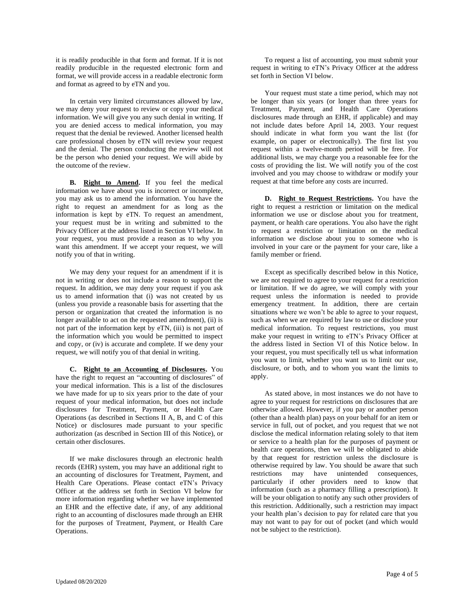it is readily producible in that form and format. If it is not readily producible in the requested electronic form and format, we will provide access in a readable electronic form and format as agreed to by eTN and you.

In certain very limited circumstances allowed by law, we may deny your request to review or copy your medical information. We will give you any such denial in writing. If you are denied access to medical information, you may request that the denial be reviewed. Another licensed health care professional chosen by eTN will review your request and the denial. The person conducting the review will not be the person who denied your request. We will abide by the outcome of the review.

**B. Right to Amend.** If you feel the medical information we have about you is incorrect or incomplete, you may ask us to amend the information. You have the right to request an amendment for as long as the information is kept by eTN. To request an amendment, your request must be in writing and submitted to the Privacy Officer at the address listed in Section VI below. In your request, you must provide a reason as to why you want this amendment. If we accept your request, we will notify you of that in writing.

We may deny your request for an amendment if it is not in writing or does not include a reason to support the request. In addition, we may deny your request if you ask us to amend information that (i) was not created by us (unless you provide a reasonable basis for asserting that the person or organization that created the information is no longer available to act on the requested amendment), (ii) is not part of the information kept by eTN, (iii) is not part of the information which you would be permitted to inspect and copy, or (iv) is accurate and complete. If we deny your request, we will notify you of that denial in writing.

**C. Right to an Accounting of Disclosures.** You have the right to request an "accounting of disclosures" of your medical information. This is a list of the disclosures we have made for up to six years prior to the date of your request of your medical information, but does not include disclosures for Treatment, Payment, or Health Care Operations (as described in Sections II A, B, and C of this Notice) or disclosures made pursuant to your specific authorization (as described in Section III of this Notice), or certain other disclosures.

If we make disclosures through an electronic health records (EHR) system, you may have an additional right to an accounting of disclosures for Treatment, Payment, and Health Care Operations. Please contact eTN's Privacy Officer at the address set forth in Section VI below for more information regarding whether we have implemented an EHR and the effective date, if any, of any additional right to an accounting of disclosures made through an EHR for the purposes of Treatment, Payment, or Health Care Operations.

To request a list of accounting, you must submit your request in writing to eTN's Privacy Officer at the address set forth in Section VI below.

Your request must state a time period, which may not be longer than six years (or longer than three years for Treatment, Payment, and Health Care Operations disclosures made through an EHR, if applicable) and may not include dates before April 14, 2003. Your request should indicate in what form you want the list (for example, on paper or electronically). The first list you request within a twelve-month period will be free. For additional lists, we may charge you a reasonable fee for the costs of providing the list. We will notify you of the cost involved and you may choose to withdraw or modify your request at that time before any costs are incurred.

**D. Right to Request Restrictions.** You have the right to request a restriction or limitation on the medical information we use or disclose about you for treatment, payment, or health care operations. You also have the right to request a restriction or limitation on the medical information we disclose about you to someone who is involved in your care or the payment for your care, like a family member or friend.

Except as specifically described below in this Notice, we are not required to agree to your request for a restriction or limitation. If we do agree, we will comply with your request unless the information is needed to provide emergency treatment. In addition, there are certain situations where we won't be able to agree to your request, such as when we are required by law to use or disclose your medical information. To request restrictions, you must make your request in writing to eTN's Privacy Officer at the address listed in Section VI of this Notice below. In your request, you must specifically tell us what information you want to limit, whether you want us to limit our use, disclosure, or both, and to whom you want the limits to apply.

As stated above, in most instances we do not have to agree to your request for restrictions on disclosures that are otherwise allowed. However, if you pay or another person (other than a health plan) pays on your behalf for an item or service in full, out of pocket, and you request that we not disclose the medical information relating solely to that item or service to a health plan for the purposes of payment or health care operations, then we will be obligated to abide by that request for restriction unless the disclosure is otherwise required by law. You should be aware that such restrictions may have unintended consequences, particularly if other providers need to know that information (such as a pharmacy filling a prescription). It will be your obligation to notify any such other providers of this restriction. Additionally, such a restriction may impact your health plan's decision to pay for related care that you may not want to pay for out of pocket (and which would not be subject to the restriction).